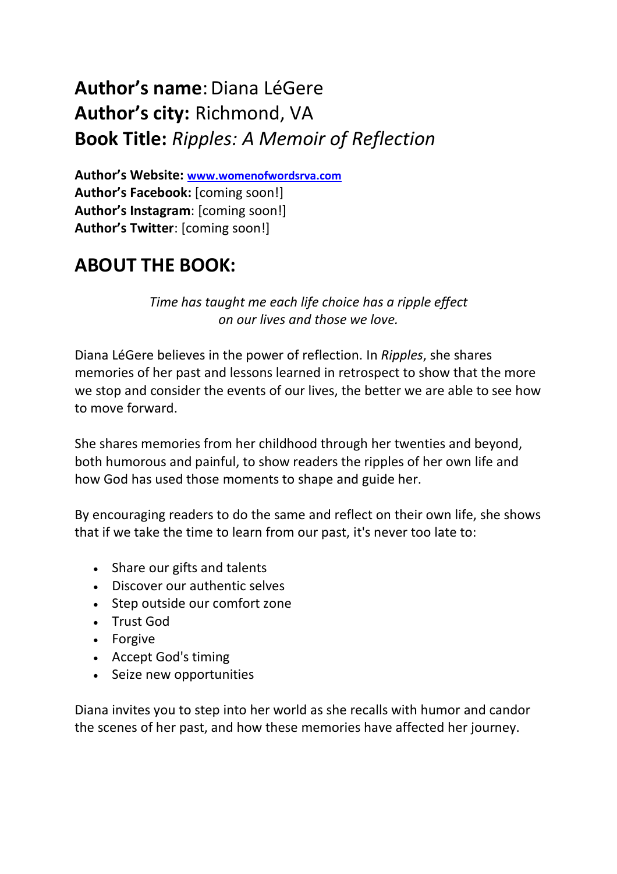# **Author's name**:Diana LéGere **Author's city:** Richmond, VA **Book Title:** *Ripples: A Memoir of Reflection*

**Author's Website: [www.womenofwordsrva.com](https://www.womenofwordsrva.com/) Author's Facebook:** [coming soon!] **Author's Instagram**: [coming soon!] **Author's Twitter**: [coming soon!]

### **ABOUT THE BOOK:**

*Time has taught me each life choice has a ripple effect on our lives and those we love.*

Diana LéGere believes in the power of reflection. In *Ripples*, she shares memories of her past and lessons learned in retrospect to show that the more we stop and consider the events of our lives, the better we are able to see how to move forward.

She shares memories from her childhood through her twenties and beyond, both humorous and painful, to show readers the ripples of her own life and how God has used those moments to shape and guide her.

By encouraging readers to do the same and reflect on their own life, she shows that if we take the time to learn from our past, it's never too late to:

- Share our gifts and talents
- Discover our authentic selves
- Step outside our comfort zone
- Trust God
- Forgive
- Accept God's timing
- Seize new opportunities

Diana invites you to step into her world as she recalls with humor and candor the scenes of her past, and how these memories have affected her journey.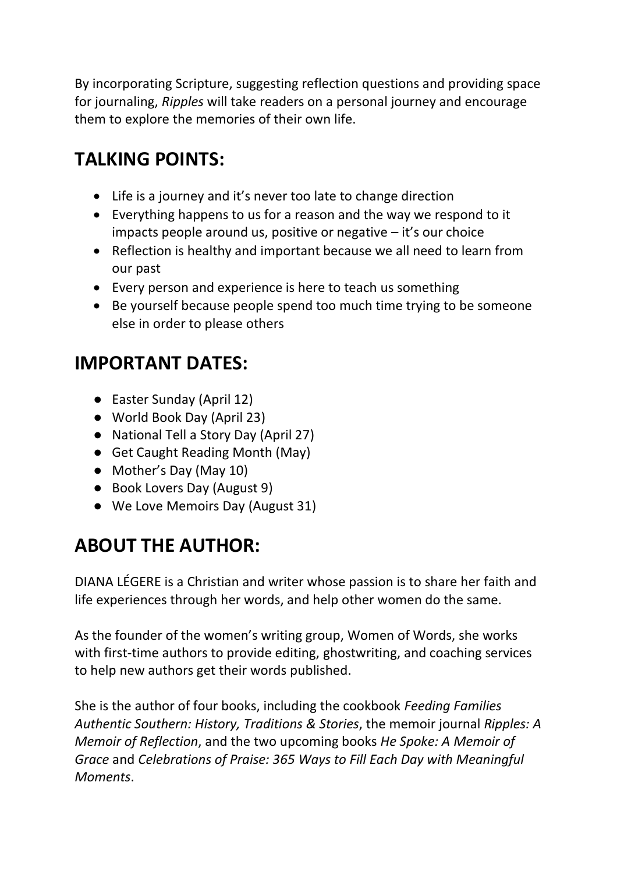By incorporating Scripture, suggesting reflection questions and providing space for journaling, *Ripples* will take readers on a personal journey and encourage them to explore the memories of their own life.

## **TALKING POINTS:**

- Life is a journey and it's never too late to change direction
- Everything happens to us for a reason and the way we respond to it impacts people around us, positive or negative – it's our choice
- Reflection is healthy and important because we all need to learn from our past
- Every person and experience is here to teach us something
- Be yourself because people spend too much time trying to be someone else in order to please others

# **IMPORTANT DATES:**

- Easter Sunday (April 12)
- World Book Day (April 23)
- National Tell a Story Day (April 27)
- Get Caught Reading Month (May)
- Mother's Day (May 10)
- Book Lovers Day (August 9)
- We Love Memoirs Day (August 31)

## **ABOUT THE AUTHOR:**

DIANA LÉGERE is a Christian and writer whose passion is to share her faith and life experiences through her words, and help other women do the same.

As the founder of the women's writing group, Women of Words, she works with first-time authors to provide editing, ghostwriting, and coaching services to help new authors get their words published.

She is the author of four books, including the cookbook *Feeding Families Authentic Southern: History, Traditions & Stories*, the memoir journal *Ripples: A Memoir of Reflection*, and the two upcoming books *He Spoke: A Memoir of Grace* and *Celebrations of Praise: 365 Ways to Fill Each Day with Meaningful Moments*.